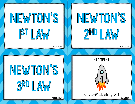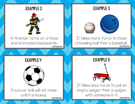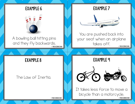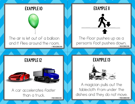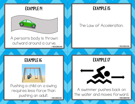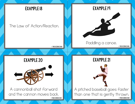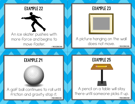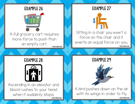

EXAMPLE 28



Ascending in an elevator and blood rushes to your head when it suddenly stops. © THE SCIENCE DUO © THE SCIENCE DUO © THE SCIENCE DUO

EXAMPLE 29



A bird pushes down on the air with its wings in order to fly.